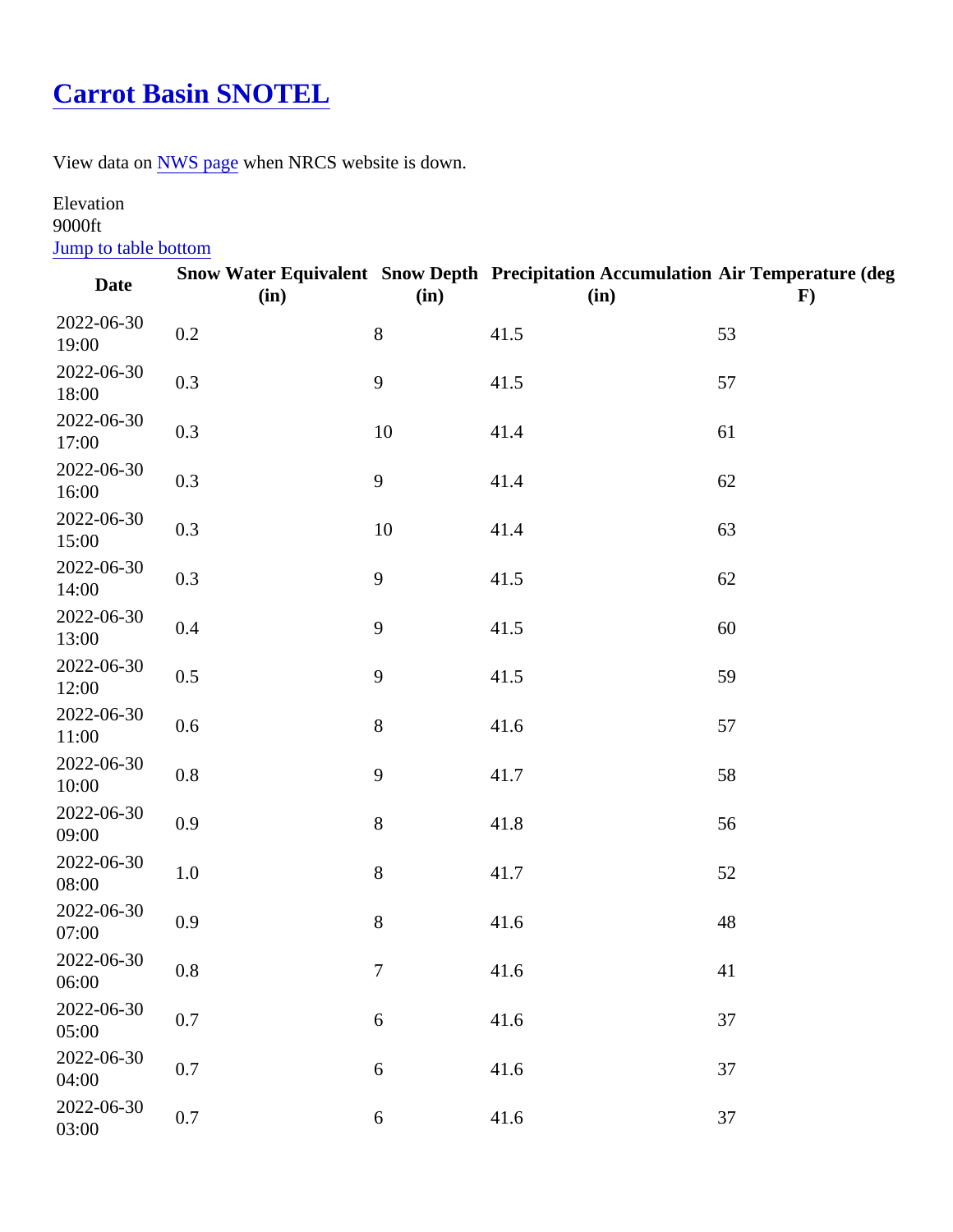## [Carrot Basin SNOTEL](https://www.mtavalanche.com/weather/stations/carrot-basin)

View data o[n NWS page](http://www.wrh.noaa.gov/mesowest/getobext.php?wfo=mso&sid=CRRM8&num=168&raw=0&dbn=m)when NRCS website is down.

## Elevation 9000ft

## Jump to table bottom

| Date                | (in) | (in)             | Snow Water Equivalent Snow Depth Precipitation Accumulation Air Temperature (deg<br>(in) | F) |
|---------------------|------|------------------|------------------------------------------------------------------------------------------|----|
| 2022-06-30<br>19:00 | 0.2  | 8                | 41.5                                                                                     | 53 |
| 2022-06-30<br>18:00 | 0.3  | $\boldsymbol{9}$ | 41.5                                                                                     | 57 |
| 2022-06-30<br>17:00 | 0.3  | 10               | 41.4                                                                                     | 61 |
| 2022-06-30<br>16:00 | 0.3  | 9                | 41.4                                                                                     | 62 |
| 2022-06-30<br>15:00 | 0.3  | 10               | 41.4                                                                                     | 63 |
| 2022-06-30<br>14:00 | 0.3  | $\boldsymbol{9}$ | 41.5                                                                                     | 62 |
| 2022-06-30<br>13:00 | 0.4  | $\boldsymbol{9}$ | 41.5                                                                                     | 60 |
| 2022-06-30<br>12:00 | 0.5  | $\boldsymbol{9}$ | 41.5                                                                                     | 59 |
| 2022-06-30<br>11:00 | 0.6  | 8                | 41.6                                                                                     | 57 |
| 2022-06-30<br>10:00 | 0.8  | $\boldsymbol{9}$ | 41.7                                                                                     | 58 |
| 2022-06-30<br>09:00 | 0.9  | 8                | 41.8                                                                                     | 56 |
| 2022-06-30<br>08:00 | 1.0  | 8                | 41.7                                                                                     | 52 |
| 2022-06-30<br>07:00 | 0.9  | 8                | 41.6                                                                                     | 48 |
| 2022-06-30<br>06:00 | 0.8  | $\overline{7}$   | 41.6                                                                                     | 41 |
| 2022-06-30<br>05:00 | 0.7  | 6                | 41.6                                                                                     | 37 |
| 2022-06-30<br>04:00 | 0.7  | $\,6$            | 41.6                                                                                     | 37 |
| 2022-06-30<br>03:00 | 0.7  | $\,6$            | 41.6                                                                                     | 37 |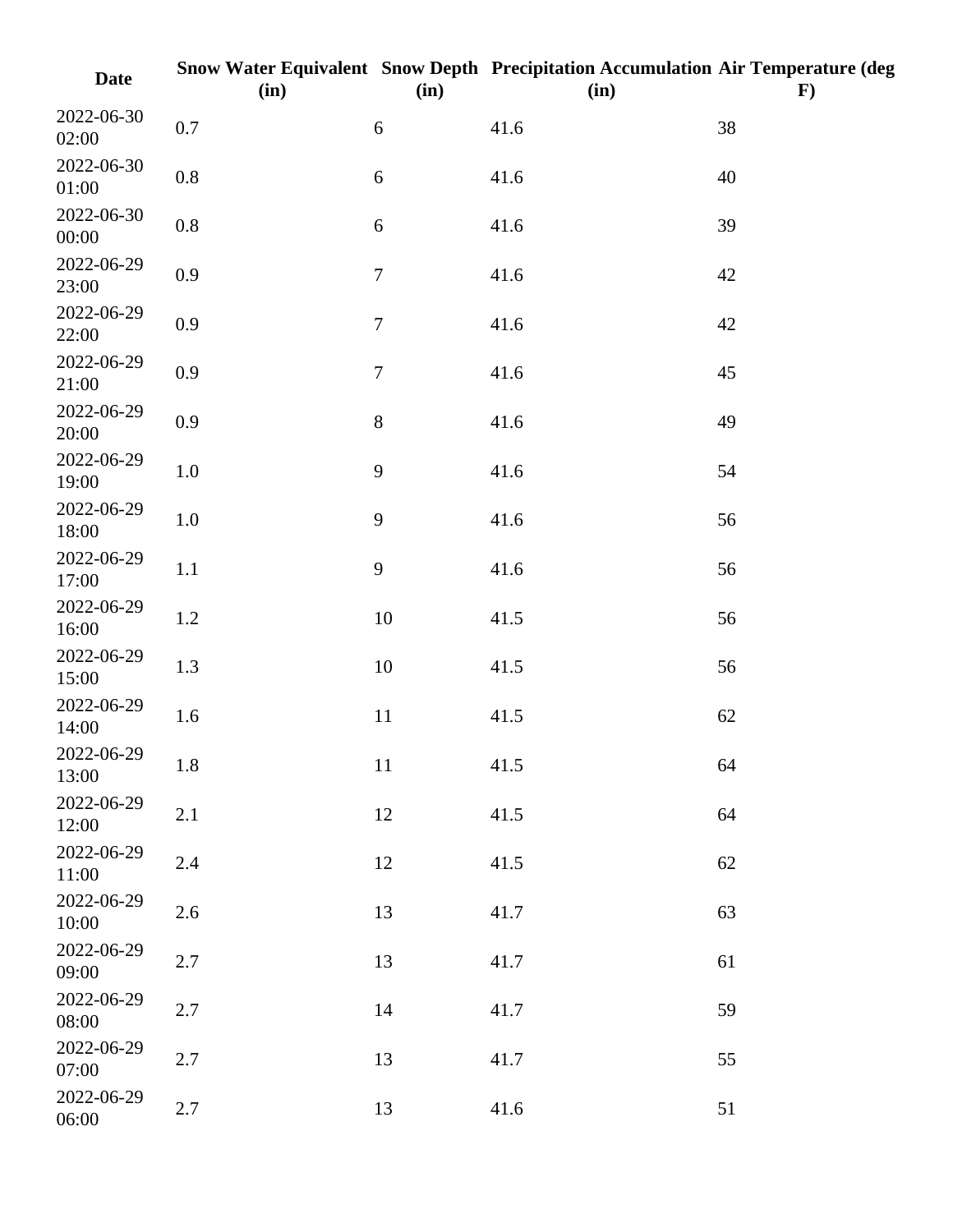| <b>Date</b>         | (in)    | (in)             | Snow Water Equivalent Snow Depth Precipitation Accumulation Air Temperature (deg<br>(in) | $\bf{F})$ |
|---------------------|---------|------------------|------------------------------------------------------------------------------------------|-----------|
| 2022-06-30<br>02:00 | $0.7\,$ | 6                | 41.6                                                                                     | 38        |
| 2022-06-30<br>01:00 | $0.8\,$ | 6                | 41.6                                                                                     | 40        |
| 2022-06-30<br>00:00 | $0.8\,$ | $\boldsymbol{6}$ | 41.6                                                                                     | 39        |
| 2022-06-29<br>23:00 | 0.9     | $\boldsymbol{7}$ | 41.6                                                                                     | 42        |
| 2022-06-29<br>22:00 | 0.9     | $\boldsymbol{7}$ | 41.6                                                                                     | 42        |
| 2022-06-29<br>21:00 | 0.9     | $\boldsymbol{7}$ | 41.6                                                                                     | 45        |
| 2022-06-29<br>20:00 | 0.9     | $8\,$            | 41.6                                                                                     | 49        |
| 2022-06-29<br>19:00 | $1.0\,$ | 9                | 41.6                                                                                     | 54        |
| 2022-06-29<br>18:00 | $1.0\,$ | 9                | 41.6                                                                                     | 56        |
| 2022-06-29<br>17:00 | 1.1     | 9                | 41.6                                                                                     | 56        |
| 2022-06-29<br>16:00 | 1.2     | $10\,$           | 41.5                                                                                     | 56        |
| 2022-06-29<br>15:00 | 1.3     | $10\,$           | 41.5                                                                                     | 56        |
| 2022-06-29<br>14:00 | 1.6     | 11               | 41.5                                                                                     | 62        |
| 2022-06-29<br>13:00 | 1.8     | 11               | 41.5                                                                                     | 64        |
| 2022-06-29<br>12:00 | 2.1     | 12               | 41.5                                                                                     | 64        |
| 2022-06-29<br>11:00 | 2.4     | 12               | 41.5                                                                                     | 62        |
| 2022-06-29<br>10:00 | 2.6     | 13               | 41.7                                                                                     | 63        |
| 2022-06-29<br>09:00 | 2.7     | 13               | 41.7                                                                                     | 61        |
| 2022-06-29<br>08:00 | 2.7     | 14               | 41.7                                                                                     | 59        |
| 2022-06-29<br>07:00 | 2.7     | 13               | 41.7                                                                                     | 55        |
| 2022-06-29<br>06:00 | 2.7     | 13               | 41.6                                                                                     | 51        |